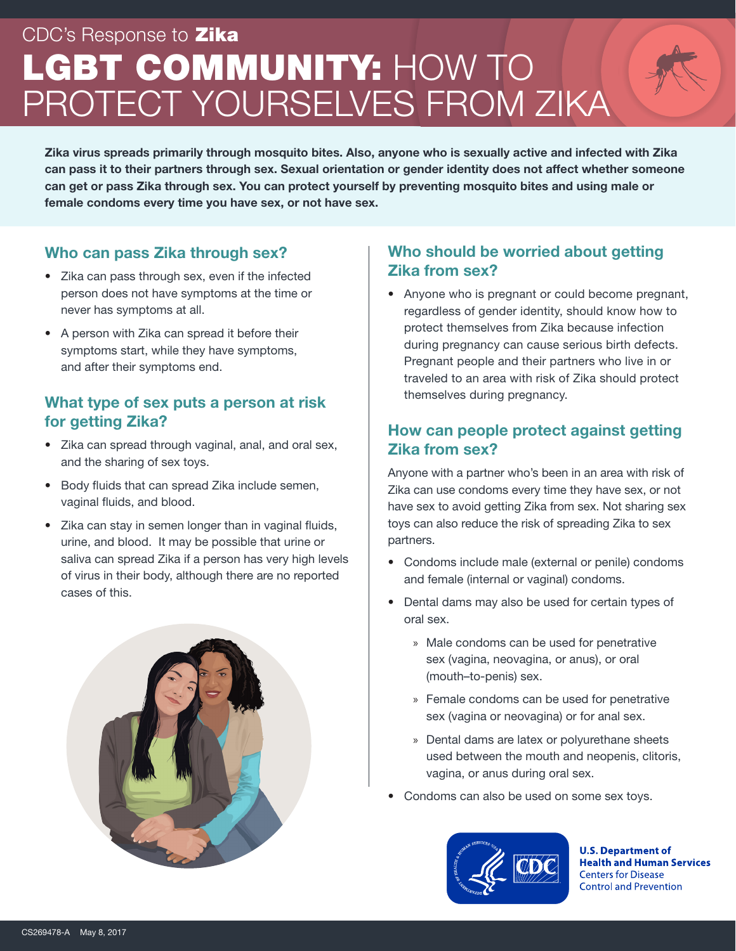# CDC's Response to **Zika** LGBT COMMUNITY: HOW TO PROTECT YOURSELVES FROM ZIKA

Zika virus spreads primarily through mosquito bites. Also, anyone who is sexually active and infected with Zika can pass it to their partners through sex. Sexual orientation or gender identity does not affect whether someone can get or pass Zika through sex. You can protect yourself by preventing mosquito bites and using male or female condoms every time you have sex, or not have sex.

#### Who can pass Zika through sex?

- Zika can pass through sex, even if the infected person does not have symptoms at the time or never has symptoms at all.
- A person with Zika can spread it before their symptoms start, while they have symptoms, and after their symptoms end.

#### What type of sex puts a person at risk for getting Zika?

- Zika can spread through vaginal, anal, and oral sex, and the sharing of sex toys.
- Body fluids that can spread Zika include semen, vaginal fluids, and blood.
- Zika can stay in semen longer than in vaginal fluids, urine, and blood. It may be possible that urine or saliva can spread Zika if a person has very high levels of virus in their body, although there are no reported cases of this.



# Who should be worried about getting Zika from sex?

• Anyone who is pregnant or could become pregnant, regardless of gender identity, should know how to protect themselves from Zika because infection during pregnancy can cause serious birth defects. Pregnant people and their partners who live in or traveled to an area with risk of Zika should protect themselves during pregnancy.

# How can people protect against getting Zika from sex?

Anyone with a partner who's been in an area with risk of Zika can use condoms every time they have sex, or not have sex to avoid getting Zika from sex. Not sharing sex toys can also reduce the risk of spreading Zika to sex partners.

- Condoms include male (external or penile) condoms and female (internal or vaginal) condoms.
- Dental dams may also be used for certain types of oral sex.
	- » Male condoms can be used for penetrative sex (vagina, neovagina, or anus), or oral (mouth–to-penis) sex.
	- » Female condoms can be used for penetrative sex (vagina or neovagina) or for anal sex.
	- » Dental dams are latex or polyurethane sheets used between the mouth and neopenis, clitoris, vagina, or anus during oral sex.
- Condoms can also be used on some sex toys.



**U.S. Department of Health and Human Services Centers for Disease Control and Prevention**